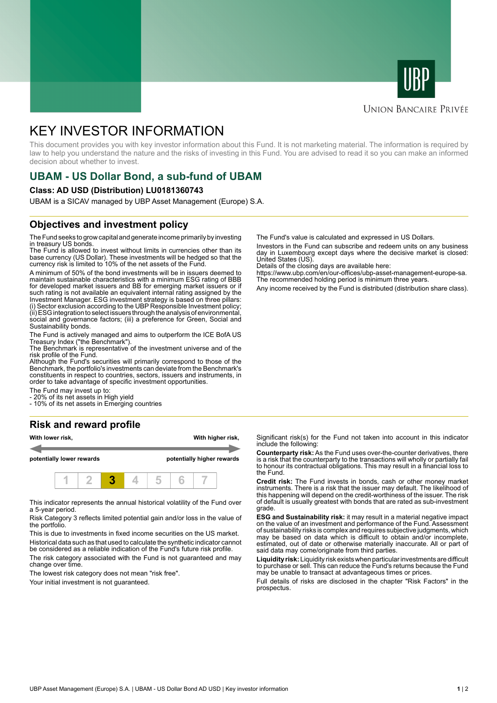



### **UNION BANCAIRE PRIVÉE**

# KEY INVESTOR INFORMATION

This document provides you with key investor information about this Fund. It is not marketing material. The information is required by law to help you understand the nature and the risks of investing in this Fund. You are advised to read it so you can make an informed decision about whether to invest.

# **UBAM - US Dollar Bond, a sub-fund of UBAM**

#### **Class: AD USD (Distribution) LU0181360743**

UBAM is a SICAV managed by UBP Asset Management (Europe) S.A.

### **Objectives and investment policy**

The Fund seeks to grow capital and generate income primarily by investing in treasury US bonds.

The Fund is allowed to invest without limits in currencies other than its base currency (US Dollar). These investments will be hedged so that the currency risk is limited to 10% of the net assets of the Fund.

A minimum of 50% of the bond investments will be in issuers deemed to maintain sustainable characteristics with a minimum ESG rating of BBB for developed market issuers and BB for emerging market issuers or if such rating is not available an equivalent internal rating assigned by the Investment Manager. ESG investment strategy is based on three pillars: (i) Sector exclusion according to the UBP Responsible Investment policy; (ii) ESG integration to select issuers through the analysis of environmental, social and governance factors; (iii) a preference for Green, Social and Sustainability bonds.

The Fund is actively managed and aims to outperform the ICE BofA US Treasury Index ("the Benchmark").

The Benchmark is representative of the investment universe and of the risk profile of the Fund.

Although the Fund's securities will primarily correspond to those of the Benchmark, the portfolio's investments can deviate from the Benchmark's constituents in respect to countries, sectors, issuers and instruments, in order to take advantage of specific investment opportunities.

The Fund may invest up to:

- 20% of its net assets in High yield

- 10% of its net assets in Emerging countries

# **Risk and reward profile**



This indicator represents the annual historical volatility of the Fund over a 5-year period.

Risk Category 3 reflects limited potential gain and/or loss in the value of the portfolio.

This is due to investments in fixed income securities on the US market. Historical data such as that used to calculate the synthetic indicator cannot be considered as a reliable indication of the Fund's future risk profile.

The risk category associated with the Fund is not guaranteed and may change over time.

The lowest risk category does not mean "risk free".

Your initial investment is not quaranteed.

The Fund's value is calculated and expressed in US Dollars.

Investors in the Fund can subscribe and redeem units on any business day in Luxembourg except days where the decisive market is closed: United States (US).

Details of the closing days are available here:

https://www.ubp.com/en/our-offices/ubp-asset-management-europe-sa. The recommended holding period is minimum three years.

Any income received by the Fund is distributed (distribution share class).

Significant risk(s) for the Fund not taken into account in this indicator include the following:

**Counterparty risk:** As the Fund uses over-the-counter derivatives, there is a risk that the counterparty to the transactions will wholly or partially fail to honour its contractual obligations. This may result in a financial loss to the Fund.

**Credit risk:** The Fund invests in bonds, cash or other money market instruments. There is a risk that the issuer may default. The likelihood of this happening will depend on the credit-worthiness of the issuer. The risk of default is usually greatest with bonds that are rated as sub-investment grade.

**ESG and Sustainability risk:** it may result in a material negative impact on the value of an investment and performance of the Fund. Assessment of sustainability risks is complex and requires subjective judgments, which may be based on data which is difficult to obtain and/or incomplete, estimated, out of date or otherwise materially inaccurate. All or part of said data may come/originate from third parties.

**Liquidity risk:** Liquidity risk exists when particular investments are difficult to purchase or sell. This can reduce the Fund's returns because the Fund may be unable to transact at advantageous times or prices.

Full details of risks are disclosed in the chapter "Risk Factors" in the prospectus.